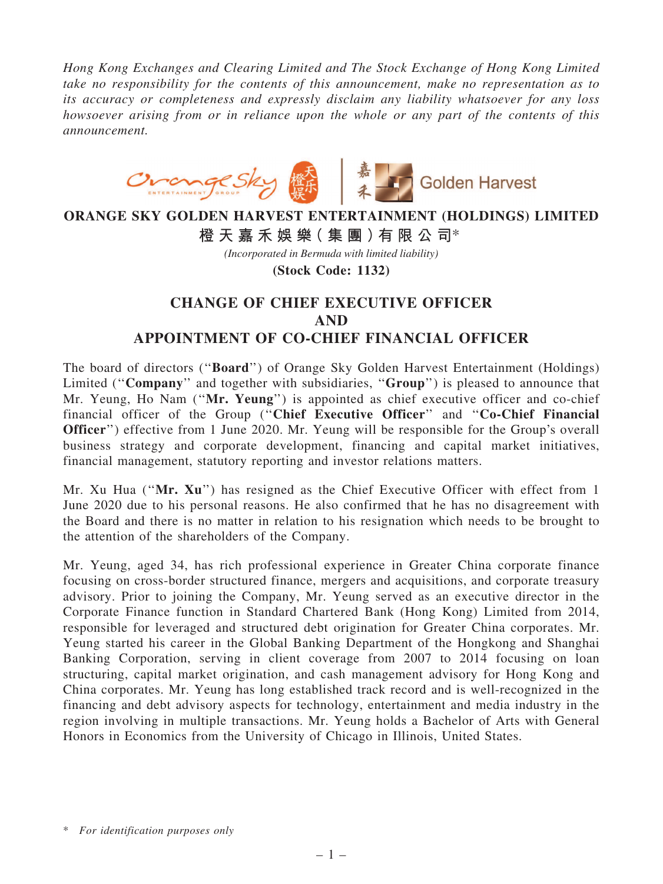*Hong Kong Exchanges and Clearing Limited and The Stock Exchange of Hong Kong Limited take no responsibility for the contents of this announcement, make no representation as to its accuracy or completeness and expressly disclaim any liability whatsoever for any loss howsoever arising from or in reliance upon the whole or any part of the contents of this announcement.*



## **ORANGE SKY GOLDEN HARVEST ENTERTAINMENT (HOLDINGS) LIMITED 橙 天 嘉 禾 娛 樂( 集 團 )有 限 公 司**\*

*(Incorporated in Bermuda with limited liability)*

**(Stock Code: 1132)**

## CHANGE OF CHIEF EXECUTIVE OFFICER AND APPOINTMENT OF CO-CHIEF FINANCIAL OFFICER

The board of directors (''Board'') of Orange Sky Golden Harvest Entertainment (Holdings) Limited ("Company" and together with subsidiaries, "Group") is pleased to announce that Mr. Yeung, Ho Nam ("Mr. Yeung") is appointed as chief executive officer and co-chief financial officer of the Group (''Chief Executive Officer'' and ''Co-Chief Financial Officer'') effective from 1 June 2020. Mr. Yeung will be responsible for the Group's overall business strategy and corporate development, financing and capital market initiatives, financial management, statutory reporting and investor relations matters.

Mr. Xu Hua (''Mr. Xu'') has resigned as the Chief Executive Officer with effect from 1 June 2020 due to his personal reasons. He also confirmed that he has no disagreement with the Board and there is no matter in relation to his resignation which needs to be brought to the attention of the shareholders of the Company.

Mr. Yeung, aged 34, has rich professional experience in Greater China corporate finance focusing on cross-border structured finance, mergers and acquisitions, and corporate treasury advisory. Prior to joining the Company, Mr. Yeung served as an executive director in the Corporate Finance function in Standard Chartered Bank (Hong Kong) Limited from 2014, responsible for leveraged and structured debt origination for Greater China corporates. Mr. Yeung started his career in the Global Banking Department of the Hongkong and Shanghai Banking Corporation, serving in client coverage from 2007 to 2014 focusing on loan structuring, capital market origination, and cash management advisory for Hong Kong and China corporates. Mr. Yeung has long established track record and is well-recognized in the financing and debt advisory aspects for technology, entertainment and media industry in the region involving in multiple transactions. Mr. Yeung holds a Bachelor of Arts with General Honors in Economics from the University of Chicago in Illinois, United States.

<sup>\*</sup> *For identification purposes only*